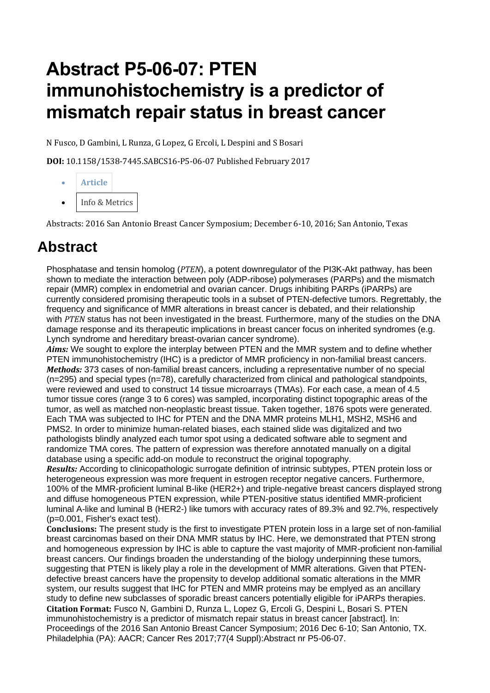## **Abstract P5-06-07: PTEN immunohistochemistry is a predictor of mismatch repair status in breast cancer**

N Fusco, D Gambini, L Runza, G Lopez, G Ercoli, L Despini and S Bosari

**DOI:** 10.1158/1538-7445.SABCS16-P5-06-07 Published February 2017

• **[Article](https://cancerres.aacrjournals.org/content/77/4_Supplement/P5-06-07)** • Info & [Metrics](https://cancerres.aacrjournals.org/content/77/4_Supplement/P5-06-07.article-info)

Abstracts: 2016 San Antonio Breast Cancer Symposium; December 6-10, 2016; San Antonio, Texas

## **Abstract**

Phosphatase and tensin homolog (*PTEN*), a potent downregulator of the PI3K-Akt pathway, has been shown to mediate the interaction between poly (ADP-ribose) polymerases (PARPs) and the mismatch repair (MMR) complex in endometrial and ovarian cancer. Drugs inhibiting PARPs (iPARPs) are currently considered promising therapeutic tools in a subset of PTEN-defective tumors. Regrettably, the frequency and significance of MMR alterations in breast cancer is debated, and their relationship with *PTEN* status has not been investigated in the breast. Furthermore, many of the studies on the DNA damage response and its therapeutic implications in breast cancer focus on inherited syndromes (e.g. Lynch syndrome and hereditary breast-ovarian cancer syndrome).

*Aims:* We sought to explore the interplay between PTEN and the MMR system and to define whether PTEN immunohistochemistry (IHC) is a predictor of MMR proficiency in non-familial breast cancers. *Methods:* 373 cases of non-familial breast cancers, including a representative number of no special (n=295) and special types (n=78), carefully characterized from clinical and pathological standpoints, were reviewed and used to construct 14 tissue microarrays (TMAs). For each case, a mean of 4.5 tumor tissue cores (range 3 to 6 cores) was sampled, incorporating distinct topographic areas of the tumor, as well as matched non-neoplastic breast tissue. Taken together, 1876 spots were generated. Each TMA was subjected to IHC for PTEN and the DNA MMR proteins MLH1, MSH2, MSH6 and PMS2. In order to minimize human-related biases, each stained slide was digitalized and two pathologists blindly analyzed each tumor spot using a dedicated software able to segment and randomize TMA cores. The pattern of expression was therefore annotated manually on a digital database using a specific add-on module to reconstruct the original topography.

*Results:* According to clinicopathologic surrogate definition of intrinsic subtypes, PTEN protein loss or heterogeneous expression was more frequent in estrogen receptor negative cancers. Furthermore, 100% of the MMR-proficient luminal B-like (HER2+) and triple-negative breast cancers displayed strong and diffuse homogeneous PTEN expression, while PTEN-positive status identified MMR-proficient luminal A-like and luminal B (HER2-) like tumors with accuracy rates of 89.3% and 92.7%, respectively (p=0.001, Fisher's exact test).

**Conclusions:** The present study is the first to investigate PTEN protein loss in a large set of non-familial breast carcinomas based on their DNA MMR status by IHC. Here, we demonstrated that PTEN strong and homogeneous expression by IHC is able to capture the vast majority of MMR-proficient non-familial breast cancers. Our findings broaden the understanding of the biology underpinning these tumors, suggesting that PTEN is likely play a role in the development of MMR alterations. Given that PTENdefective breast cancers have the propensity to develop additional somatic alterations in the MMR system, our results suggest that IHC for PTEN and MMR proteins may be emplyed as an ancillary study to define new subclasses of sporadic breast cancers potentially eligible for iPARPs therapies. **Citation Format:** Fusco N, Gambini D, Runza L, Lopez G, Ercoli G, Despini L, Bosari S. PTEN immunohistochemistry is a predictor of mismatch repair status in breast cancer [abstract]. In: Proceedings of the 2016 San Antonio Breast Cancer Symposium; 2016 Dec 6-10; San Antonio, TX. Philadelphia (PA): AACR; Cancer Res 2017;77(4 Suppl):Abstract nr P5-06-07.